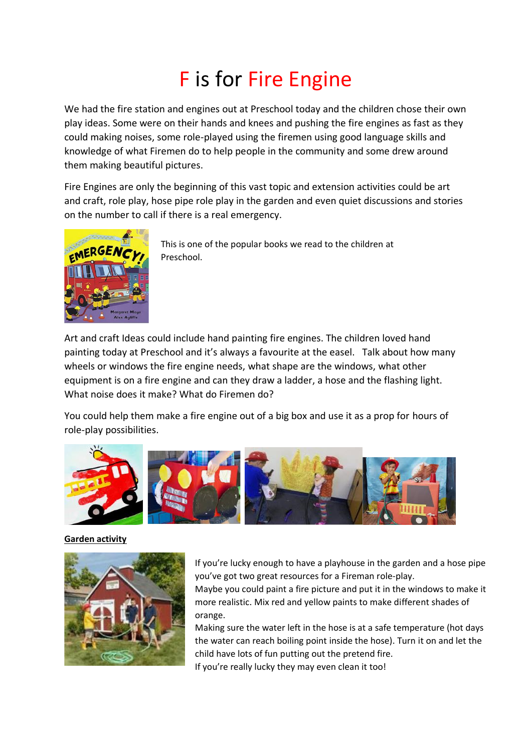# F is for Fire Engine

We had the fire station and engines out at Preschool today and the children chose their own play ideas. Some were on their hands and knees and pushing the fire engines as fast as they could making noises, some role-played using the firemen using good language skills and knowledge of what Firemen do to help people in the community and some drew around them making beautiful pictures.

Fire Engines are only the beginning of this vast topic and extension activities could be art and craft, role play, hose pipe role play in the garden and even quiet discussions and stories on the number to call if there is a real emergency.



This is one of the popular books we read to the children at Preschool.

Art and craft Ideas could include hand painting fire engines. The children loved hand painting today at Preschool and it's always a favourite at the easel. Talk about how many wheels or windows the fire engine needs, what shape are the windows, what other equipment is on a fire engine and can they draw a ladder, a hose and the flashing light. What noise does it make? What do Firemen do?

You could help them make a fire engine out of a big box and use it as a prop for hours of role-play possibilities.



### **Garden activity**



If you're lucky enough to have a playhouse in the garden and a hose pipe you've got two great resources for a Fireman role-play.

Maybe you could paint a fire picture and put it in the windows to make it more realistic. Mix red and yellow paints to make different shades of orange.

Making sure the water left in the hose is at a safe temperature (hot days the water can reach boiling point inside the hose). Turn it on and let the child have lots of fun putting out the pretend fire.

If you're really lucky they may even clean it too!